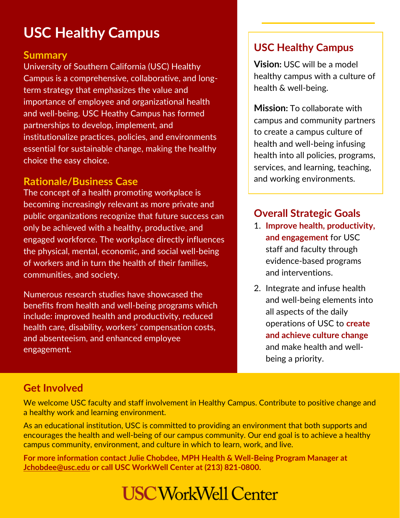## **USC Healthy Campus**

#### **Summary**

University of Southern California (USC) Healthy Campus is a comprehensive, collaborative, and longterm strategy that emphasizes the value and importance of employee and organizational health and well-being. USC Heathy Campus has formed partnerships to develop, implement, and institutionalize practices, policies, and environments essential for sustainable change, making the healthy choice the easy choice.

#### **Rationale/Business Case**

The concept of a health promoting workplace is becoming increasingly relevant as more private and public organizations recognize that future success can only be achieved with a healthy, productive, and engaged workforce. The workplace directly influences the physical, mental, economic, and social well-being of workers and in turn the health of their families, communities, and society.

Numerous research studies have showcased the benefits from health and well-being programs which include: improved health and productivity, reduced health care, disability, workers' compensation costs, and absenteeism, and enhanced employee engagement.

#### **USC Healthy Campus**

**Vision:** USC will be a model healthy campus with a culture of health & well-being.

**Mission:** To collaborate with campus and community partners to create a campus culture of health and well-being infusing health into all policies, programs, services, and learning, teaching, and working environments.

### **Overall Strategic Goals**

- 1. **Improve health, productivity, and engagement** for USC staff and faculty through evidence-based programs and interventions.
- 2. Integrate and infuse health and well-being elements into all aspects of the daily operations of USC to **create and achieve culture change** and make health and wellbeing a priority.

#### **Get Involved**

We welcome USC faculty and staff involvement in Healthy Campus. Contribute to positive change and a healthy work and learning environment.

As an educational institution, USC is committed to providing an environment that both supports and encourages the health and well-being of our campus community. Our end goal is to achieve a healthy campus community, environment, and culture in which to learn, work, and live.

**For more information contact Julie Chobdee, MPH Health & Well-Being Program Manager at [Jchobdee@usc.edu](mailto:Jchobdee@usc.edu) or call USC WorkWell Center at (213) 821-0800.**

## **USC WorkWell Center**